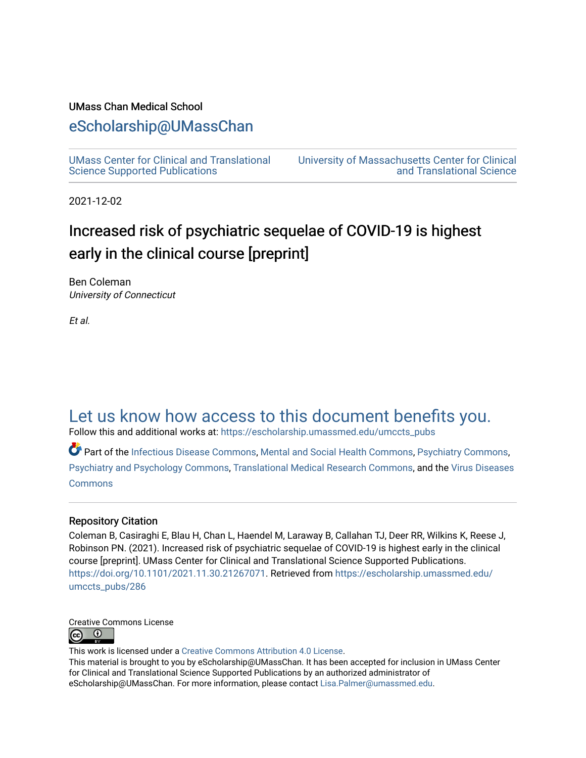#### UMass Chan Medical School

### [eScholarship@UMassChan](https://escholarship.umassmed.edu/)

[UMass Center for Clinical and Translational](https://escholarship.umassmed.edu/umccts_pubs)  [Science Supported Publications](https://escholarship.umassmed.edu/umccts_pubs)

[University of Massachusetts Center for Clinical](https://escholarship.umassmed.edu/umccts)  [and Translational Science](https://escholarship.umassmed.edu/umccts) 

2021-12-02

### Increased risk of psychiatric sequelae of COVID-19 is highest early in the clinical course [preprint]

Ben Coleman University of Connecticut

Et al.

### [Let us know how access to this document benefits you.](https://arcsapps.umassmed.edu/redcap/surveys/?s=XWRHNF9EJE)

Follow this and additional works at: [https://escholarship.umassmed.edu/umccts\\_pubs](https://escholarship.umassmed.edu/umccts_pubs?utm_source=escholarship.umassmed.edu%2Fumccts_pubs%2F286&utm_medium=PDF&utm_campaign=PDFCoverPages)

Part of the [Infectious Disease Commons,](https://network.bepress.com/hgg/discipline/689?utm_source=escholarship.umassmed.edu%2Fumccts_pubs%2F286&utm_medium=PDF&utm_campaign=PDFCoverPages) [Mental and Social Health Commons,](https://network.bepress.com/hgg/discipline/709?utm_source=escholarship.umassmed.edu%2Fumccts_pubs%2F286&utm_medium=PDF&utm_campaign=PDFCoverPages) [Psychiatry Commons](https://network.bepress.com/hgg/discipline/704?utm_source=escholarship.umassmed.edu%2Fumccts_pubs%2F286&utm_medium=PDF&utm_campaign=PDFCoverPages), [Psychiatry and Psychology Commons](https://network.bepress.com/hgg/discipline/908?utm_source=escholarship.umassmed.edu%2Fumccts_pubs%2F286&utm_medium=PDF&utm_campaign=PDFCoverPages), [Translational Medical Research Commons,](https://network.bepress.com/hgg/discipline/1124?utm_source=escholarship.umassmed.edu%2Fumccts_pubs%2F286&utm_medium=PDF&utm_campaign=PDFCoverPages) and the [Virus Diseases](https://network.bepress.com/hgg/discipline/998?utm_source=escholarship.umassmed.edu%2Fumccts_pubs%2F286&utm_medium=PDF&utm_campaign=PDFCoverPages) [Commons](https://network.bepress.com/hgg/discipline/998?utm_source=escholarship.umassmed.edu%2Fumccts_pubs%2F286&utm_medium=PDF&utm_campaign=PDFCoverPages)

#### Repository Citation

Coleman B, Casiraghi E, Blau H, Chan L, Haendel M, Laraway B, Callahan TJ, Deer RR, Wilkins K, Reese J, Robinson PN. (2021). Increased risk of psychiatric sequelae of COVID-19 is highest early in the clinical course [preprint]. UMass Center for Clinical and Translational Science Supported Publications. [https://doi.org/10.1101/2021.11.30.21267071.](https://doi.org/10.1101/2021.11.30.21267071) Retrieved from [https://escholarship.umassmed.edu/](https://escholarship.umassmed.edu/umccts_pubs/286?utm_source=escholarship.umassmed.edu%2Fumccts_pubs%2F286&utm_medium=PDF&utm_campaign=PDFCoverPages) [umccts\\_pubs/286](https://escholarship.umassmed.edu/umccts_pubs/286?utm_source=escholarship.umassmed.edu%2Fumccts_pubs%2F286&utm_medium=PDF&utm_campaign=PDFCoverPages) 



This work is licensed under a [Creative Commons Attribution 4.0 License](http://creativecommons.org/licenses/by/4.0/).

This material is brought to you by eScholarship@UMassChan. It has been accepted for inclusion in UMass Center for Clinical and Translational Science Supported Publications by an authorized administrator of eScholarship@UMassChan. For more information, please contact [Lisa.Palmer@umassmed.edu](mailto:Lisa.Palmer@umassmed.edu).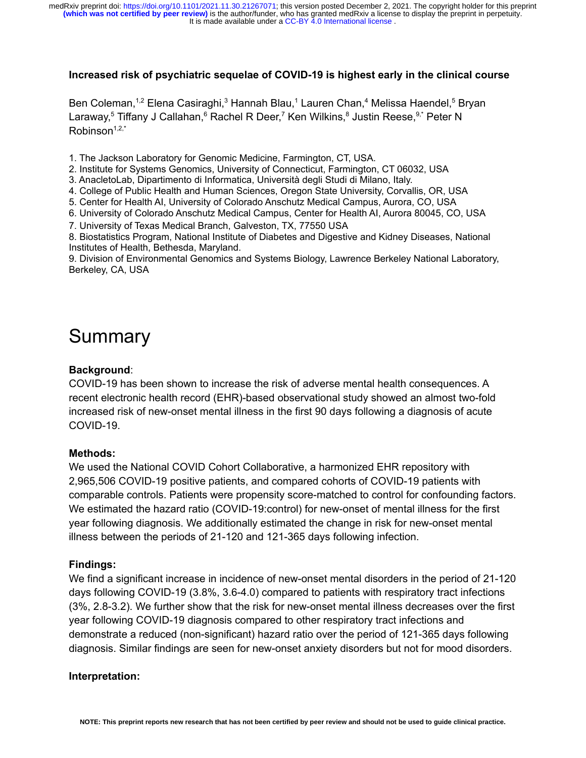#### **Increased risk of psychiatric sequelae of COVID-19 is highest early in the clinical course**

Ben Coleman,<sup>1,2</sup> Elena Casiraghi,<sup>3</sup> Hannah Blau,<sup>1</sup> Lauren Chan,<sup>4</sup> Melissa Haendel,<sup>5</sup> Bryan Laraway,<sup>5</sup> Tiffany J Callahan,<sup>6</sup> Rachel R Deer,<sup>7</sup> Ken Wilkins,<sup>8</sup> Justin Reese, <sup>9,\*</sup> Peter N  $Rohinson<sup>1,2,*</sup>$ 

- 1. The Jackson Laboratory for Genomic Medicine, Farmington, CT, USA.
- 2. Institute for Systems Genomics, University of Connecticut, Farmington, CT 06032, USA
- 3. AnacletoLab, Dipartimento di Informatica, Università degli Studi di Milano, Italy.
- 4. College of Public Health and Human Sciences, Oregon State University, Corvallis, OR, USA
- 5. Center for Health AI, University of Colorado Anschutz Medical Campus, Aurora, CO, USA
- 6. University of Colorado Anschutz Medical Campus, Center for Health AI, Aurora 80045, CO, USA
- 7. University of Texas Medical Branch, Galveston, TX, 77550 USA

8. Biostatistics Program, National Institute of Diabetes and Digestive and Kidney Diseases, National Institutes of Health, Bethesda, Maryland.

9. Division of Environmental Genomics and Systems Biology, Lawrence Berkeley National Laboratory, Berkeley, CA, USA

# Summary

#### **Background**:

COVID-19 has been shown to increase the risk of adverse mental health consequences. A recent electronic health record (EHR)-based observational study showed an almost two-fold increased risk of new-onset mental illness in the first 90 days following a diagnosis of acute COVID-19.

#### **Methods:**

We used the National COVID Cohort Collaborative, a harmonized EHR repository with 2,965,506 COVID-19 positive patients, and compared cohorts of COVID-19 patients with comparable controls. Patients were propensity score-matched to control for confounding factors. We estimated the hazard ratio (COVID-19:control) for new-onset of mental illness for the first year following diagnosis. We additionally estimated the change in risk for new-onset mental illness between the periods of 21-120 and 121-365 days following infection.

#### **Findings:**

We find a significant increase in incidence of new-onset mental disorders in the period of 21-120 days following COVID-19 (3.8%, 3.6-4.0) compared to patients with respiratory tract infections (3%, 2.8-3.2). We further show that the risk for new-onset mental illness decreases over the first year following COVID-19 diagnosis compared to other respiratory tract infections and demonstrate a reduced (non-significant) hazard ratio over the period of 121-365 days following diagnosis. Similar findings are seen for new-onset anxiety disorders but not for mood disorders.

#### **Interpretation:**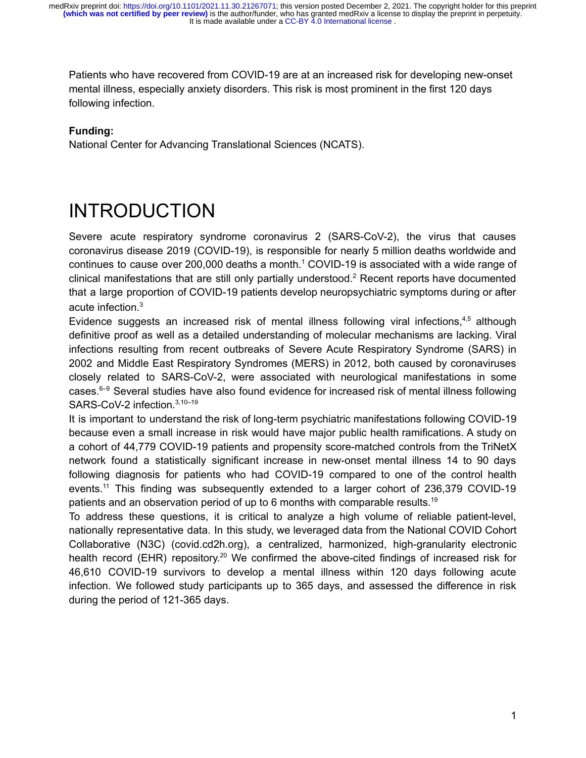Patients who have recovered from COVID-19 are at an increased risk for developing new-onset mental illness, especially anxiety disorders. This risk is most prominent in the first 120 days following infection.

#### **Funding:**

National Center for Advancing Translational Sciences (NCATS).

# INTRODUCTION

Severe acute respiratory syndrome coronavirus 2 (SARS-CoV-2), the virus that causes coronavirus disease 2019 (COVID-19), is responsible for nearly 5 million deaths worldwide and continues to cause over 200,000 deaths a month.<sup>[1](https://paperpile.com/c/SUxaeY/0R5k)</sup> COVID-19 is associated with a wide range of clinical manifestations that are still only partially understood.[2](https://paperpile.com/c/SUxaeY/PJMq) Recent reports have documented that a large proportion of COVID-19 patients develop neuropsychiatric symptoms during or after acute infection.[3](https://paperpile.com/c/SUxaeY/lKO8)

Evidence suggests an increased risk of mental illness following viral infections, $4.5$  although definitive proof as well as a detailed understanding of molecular mechanisms are lacking. Viral infections resulting from recent outbreaks of Severe Acute Respiratory Syndrome (SARS) in 2002 and Middle East Respiratory Syndromes (MERS) in 2012, both caused by coronaviruses closely related to SARS-CoV-2, were associated with neurological manifestations in some cases. $6-9$  Several studies have also found evidence for increased risk of mental illness following SARS-CoV-2 infection.<sup>3,10-19</sup>

It is important to understand the risk of long-term psychiatric manifestations following COVID-19 because even a small increase in risk would have major public health ramifications. A study on a cohort of 44,779 COVID-19 patients and propensity score-matched controls from the TriNetX network found a statistically significant increase in new-onset mental illness 14 to 90 days following diagnosis for patients who had COVID-19 compared to one of the control health events.[11](https://paperpile.com/c/SUxaeY/oeSp) This finding was subsequently extended to a larger cohort of 236,379 COVID-19 patients and an observation period of up to 6 months with comparable results.[19](https://paperpile.com/c/SUxaeY/D9oZ)

To address these questions, it is critical to analyze a high volume of reliable patient-level, nationally representative data. In this study, we leveraged data from the National COVID Cohort Collaborative (N3C) (covid.cd2h.org), a centralized, harmonized, high-granularity electronic health record (EHR) repository.<sup>[20](https://paperpile.com/c/SUxaeY/Kpp4)</sup> We confirmed the above-cited findings of increased risk for 46,610 COVID-19 survivors to develop a mental illness within 120 days following acute infection. We followed study participants up to 365 days, and assessed the difference in risk during the period of 121-365 days.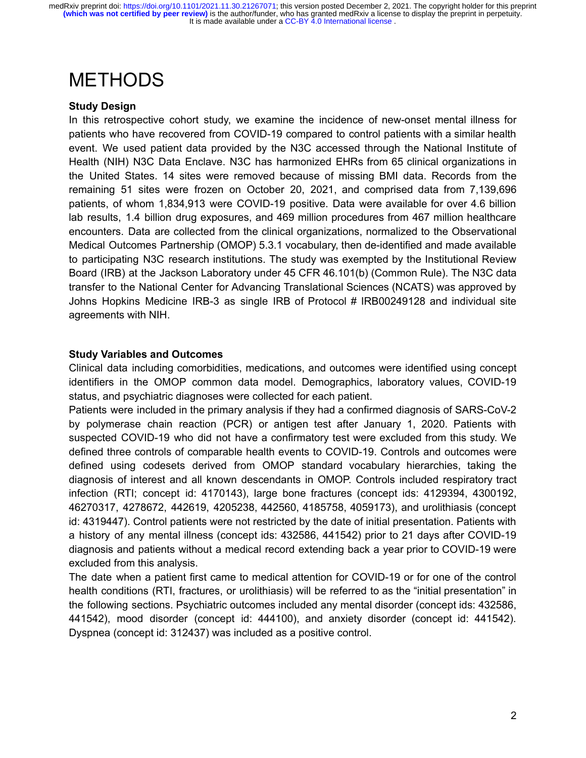## METHODS

#### **Study Design**

In this retrospective cohort study, we examine the incidence of new-onset mental illness for patients who have recovered from COVID-19 compared to control patients with a similar health event. We used patient data provided by the N3C accessed through the National Institute of Health (NIH) N3C Data Enclave. N3C has harmonized EHRs from 65 clinical organizations in the United States. 14 sites were removed because of missing BMI data. Records from the remaining 51 sites were frozen on October 20, 2021, and comprised data from 7,139,696 patients, of whom 1,834,913 were COVID-19 positive. Data were available for over 4.6 billion lab results, 1.4 billion drug exposures, and 469 million procedures from 467 million healthcare encounters. Data are collected from the clinical organizations, normalized to the Observational Medical Outcomes Partnership (OMOP) 5.3.1 vocabulary, then de-identified and made available to participating N3C research institutions. The study was exempted by the Institutional Review Board (IRB) at the Jackson Laboratory under 45 CFR 46.101(b) (Common Rule). The N3C data transfer to the National Center for Advancing Translational Sciences (NCATS) was approved by Johns Hopkins Medicine IRB-3 as single IRB of Protocol # IRB00249128 and individual site agreements with NIH.

#### **Study Variables and Outcomes**

Clinical data including comorbidities, medications, and outcomes were identified using concept identifiers in the OMOP common data model. Demographics, laboratory values, COVID-19 status, and psychiatric diagnoses were collected for each patient.

Patients were included in the primary analysis if they had a confirmed diagnosis of SARS-CoV-2 by polymerase chain reaction (PCR) or antigen test after January 1, 2020. Patients with suspected COVID-19 who did not have a confirmatory test were excluded from this study. We defined three controls of comparable health events to COVID-19. Controls and outcomes were defined using codesets derived from OMOP standard vocabulary hierarchies, taking the diagnosis of interest and all known descendants in OMOP. Controls included respiratory tract infection (RTI; concept id: 4170143), large bone fractures (concept ids: 4129394, 4300192, 46270317, 4278672, 442619, 4205238, 442560, 4185758, 4059173), and urolithiasis (concept id: 4319447). Control patients were not restricted by the date of initial presentation. Patients with a history of any mental illness (concept ids: 432586, 441542) prior to 21 days after COVID-19 diagnosis and patients without a medical record extending back a year prior to COVID-19 were excluded from this analysis.

The date when a patient first came to medical attention for COVID-19 or for one of the control health conditions (RTI, fractures, or urolithiasis) will be referred to as the "initial presentation" in the following sections. Psychiatric outcomes included any mental disorder (concept ids: 432586, 441542), mood disorder (concept id: 444100), and anxiety disorder (concept id: 441542). Dyspnea (concept id: 312437) was included as a positive control.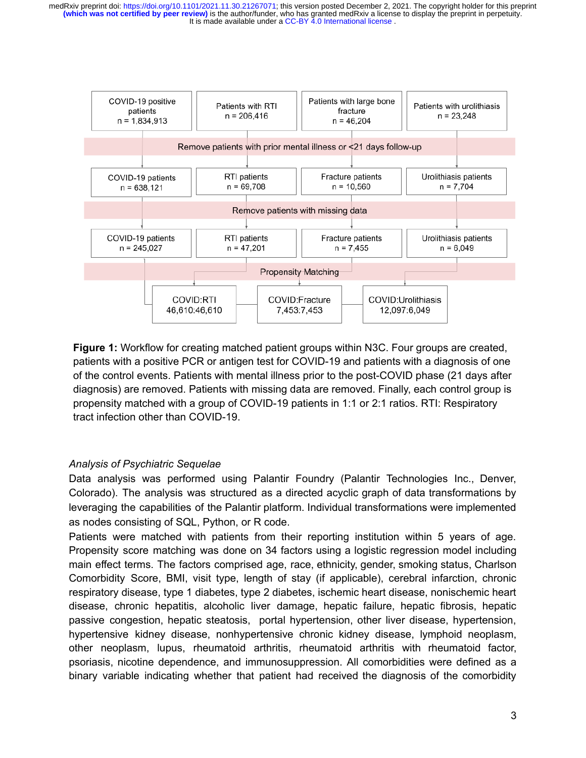

**Figure 1:** Workflow for creating matched patient groups within N3C. Four groups are created, patients with a positive PCR or antigen test for COVID-19 and patients with a diagnosis of one of the control events. Patients with mental illness prior to the post-COVID phase (21 days after diagnosis) are removed. Patients with missing data are removed. Finally, each control group is propensity matched with a group of COVID-19 patients in 1:1 or 2:1 ratios. RTI: Respiratory tract infection other than COVID-19.

#### *Analysis of Psychiatric Sequelae*

Data analysis was performed using Palantir Foundry (Palantir Technologies Inc., Denver, Colorado). The analysis was structured as a directed acyclic graph of data transformations by leveraging the capabilities of the Palantir platform. Individual transformations were implemented as nodes consisting of SQL, Python, or R code.

Patients were matched with patients from their reporting institution within 5 years of age. Propensity score matching was done on 34 factors using a logistic regression model including main effect terms. The factors comprised age, race, ethnicity, gender, smoking status, Charlson Comorbidity Score, BMI, visit type, length of stay (if applicable), cerebral infarction, chronic respiratory disease, type 1 diabetes, type 2 diabetes, ischemic heart disease, nonischemic heart disease, chronic hepatitis, alcoholic liver damage, hepatic failure, hepatic fibrosis, hepatic passive congestion, hepatic steatosis, portal hypertension, other liver disease, hypertension, hypertensive kidney disease, nonhypertensive chronic kidney disease, lymphoid neoplasm, other neoplasm, lupus, rheumatoid arthritis, rheumatoid arthritis with rheumatoid factor, psoriasis, nicotine dependence, and immunosuppression. All comorbidities were defined as a binary variable indicating whether that patient had received the diagnosis of the comorbidity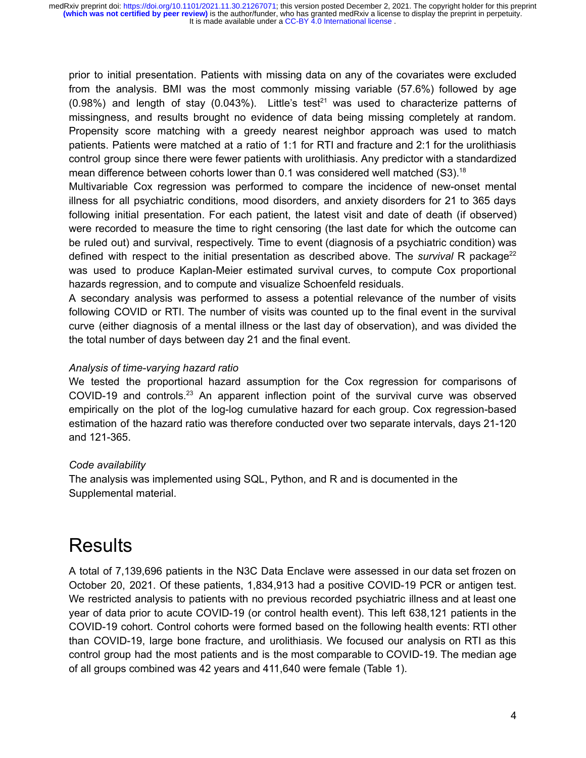prior to initial presentation. Patients with missing data on any of the covariates were excluded from the analysis. BMI was the most commonly missing variable (57.6%) followed by age  $(0.98%)$  and length of stay  $(0.043%)$ . Little's test<sup>[21](https://paperpile.com/c/SUxaeY/KHGj)</sup> was used to characterize patterns of missingness, and results brought no evidence of data being missing completely at random. Propensity score matching with a greedy nearest neighbor approach was used to match patients. Patients were matched at a ratio of 1:1 for RTI and fracture and 2:1 for the urolithiasis control group since there were fewer patients with urolithiasis. Any predictor with a standardized mean difference between cohorts lower than 0.1 was considered well matched (S3).[18](https://paperpile.com/c/SUxaeY/O1Bf)

Multivariable Cox regression was performed to compare the incidence of new-onset mental illness for all psychiatric conditions, mood disorders, and anxiety disorders for 21 to 365 days following initial presentation. For each patient, the latest visit and date of death (if observed) were recorded to measure the time to right censoring (the last date for which the outcome can be ruled out) and survival, respectively. Time to event (diagnosis of a psychiatric condition) was defined with respect to the initial presentation as described above. The *survival* R package<sup>[22](https://paperpile.com/c/SUxaeY/rEHJ)</sup> was used to produce Kaplan-Meier estimated survival curves, to compute Cox proportional hazards regression, and to compute and visualize Schoenfeld residuals.

A secondary analysis was performed to assess a potential relevance of the number of visits following COVID or RTI. The number of visits was counted up to the final event in the survival curve (either diagnosis of a mental illness or the last day of observation), and was divided the the total number of days between day 21 and the final event.

#### *Analysis of time-varying hazard ratio*

We tested the proportional hazard assumption for the Cox regression for comparisons of COVID-19 and controls.<sup>[23](https://paperpile.com/c/SUxaeY/bvGQ)</sup> An apparent inflection point of the survival curve was observed empirically on the plot of the log-log cumulative hazard for each group. Cox regression-based estimation of the hazard ratio was therefore conducted over two separate intervals, days 21-120 and 121-365.

#### *Code availability*

The analysis was implemented using SQL, Python, and R and is documented in the Supplemental material.

## **Results**

A total of 7,139,696 patients in the N3C Data Enclave were assessed in our data set frozen on October 20, 2021. Of these patients, 1,834,913 had a positive COVID-19 PCR or antigen test. We restricted analysis to patients with no previous recorded psychiatric illness and at least one year of data prior to acute COVID-19 (or control health event). This left 638,121 patients in the COVID-19 cohort. Control cohorts were formed based on the following health events: RTI other than COVID-19, large bone fracture, and urolithiasis. We focused our analysis on RTI as this control group had the most patients and is the most comparable to COVID-19. The median age of all groups combined was 42 years and 411,640 were female (Table 1).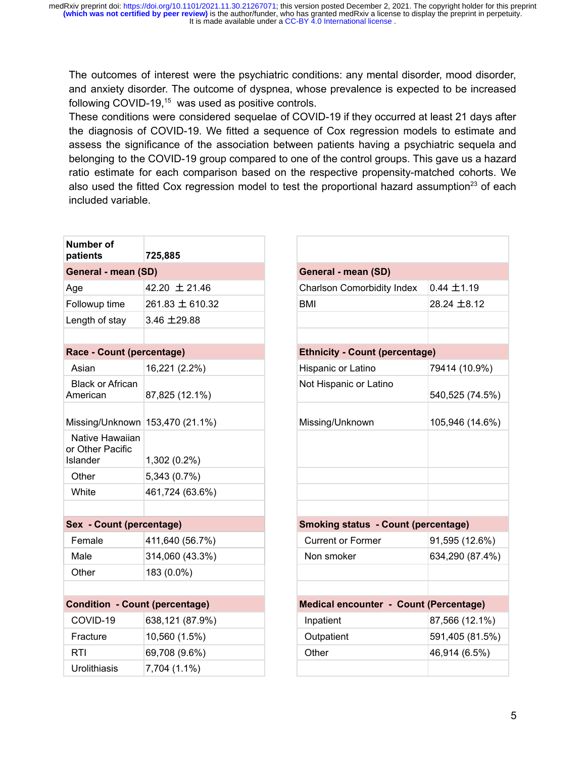It is made available under a CC-BY 4.0 International license. medRxiv preprint doi: [https://doi.org/10.1101/2021.11.30.21267071;](https://doi.org/10.1101/2021.11.30.21267071) this version posted December 2, 2021. The copyright holder for this preprint<br>(which was not certified by peer review) is the author/funder, who has granted

The outcomes of interest were the psychiatric conditions: any mental disorder, mood disorder, and anxiety disorder. The outcome of dyspnea, whose prevalence is expected to be increased following COVID-19,<sup>[15](https://paperpile.com/c/SUxaeY/T6nS)</sup> was used as positive controls.

These conditions were considered sequelae of COVID-19 if they occurred at least 21 days after the diagnosis of COVID-19. We fitted a sequence of Cox regression models to estimate and assess the significance of the association between patients having a psychiatric sequela and belonging to the COVID-19 group compared to one of the control groups. This gave us a hazard ratio estimate for each comparison based on the respective propensity-matched cohorts. We also used the fitted Cox regression model to test the proportional hazard assumption<sup>[23](https://paperpile.com/c/SUxaeY/bvGQ)</sup> of each included variable.

| <b>Number of</b><br>patients                    | 725,885         |
|-------------------------------------------------|-----------------|
| <b>General - mean (SD)</b>                      |                 |
| Age                                             | 42.20 ± 21.46   |
| Followup time                                   | 261.83 ± 610.32 |
| Length of stay                                  | 3.46 ±29.88     |
|                                                 |                 |
| Race - Count (percentage)                       |                 |
| Asian                                           | 16,221 (2.2%)   |
| <b>Black or African</b><br>American             | 87,825 (12.1%)  |
| Missing/Unknown 153,470 (21.1%)                 |                 |
| Native Hawaiian<br>or Other Pacific<br>Islander | 1,302 (0.2%)    |
| Other                                           | 5,343 (0.7%)    |
| White                                           | 461,724 (63.6%) |
|                                                 |                 |
| <b>Sex - Count (percentage)</b>                 |                 |
| Female                                          | 411,640 (56.7%) |
| Male                                            | 314,060 (43.3%) |
| Other                                           | 183 (0.0%)      |
|                                                 |                 |
| <b>Condition - Count (percentage)</b>           |                 |
| COVID-19                                        | 638,121 (87.9%) |
| Fracture                                        | 10,560 (1.5%)   |
| <b>RTI</b>                                      | 69,708 (9.6%)   |
| Urolithiasis                                    | 7,704 (1.1%)    |

| General - mean (SD)                        |                 |  |  |  |  |  |  |
|--------------------------------------------|-----------------|--|--|--|--|--|--|
| <b>Charlson Comorbidity Index</b>          | $0.44 \pm 1.19$ |  |  |  |  |  |  |
| <b>BMI</b>                                 | 28.24 ±8.12     |  |  |  |  |  |  |
|                                            |                 |  |  |  |  |  |  |
|                                            |                 |  |  |  |  |  |  |
| <b>Ethnicity - Count (percentage)</b>      |                 |  |  |  |  |  |  |
| Hispanic or Latino                         | 79414 (10.9%)   |  |  |  |  |  |  |
| Not Hispanic or Latino                     | 540,525 (74.5%) |  |  |  |  |  |  |
| Missing/Unknown                            | 105,946 (14.6%) |  |  |  |  |  |  |
|                                            |                 |  |  |  |  |  |  |
|                                            |                 |  |  |  |  |  |  |
|                                            |                 |  |  |  |  |  |  |
|                                            |                 |  |  |  |  |  |  |
|                                            |                 |  |  |  |  |  |  |
| <b>Smoking status - Count (percentage)</b> |                 |  |  |  |  |  |  |
| <b>Current or Former</b>                   | 91,595 (12.6%)  |  |  |  |  |  |  |
| Non smoker                                 | 634,290 (87.4%) |  |  |  |  |  |  |
|                                            |                 |  |  |  |  |  |  |
|                                            |                 |  |  |  |  |  |  |
| Medical encounter - Count (Percentage)     |                 |  |  |  |  |  |  |
| Inpatient                                  | 87,566 (12.1%)  |  |  |  |  |  |  |
| Outpatient                                 | 591,405 (81.5%) |  |  |  |  |  |  |
| Other                                      | 46,914 (6.5%)   |  |  |  |  |  |  |
|                                            |                 |  |  |  |  |  |  |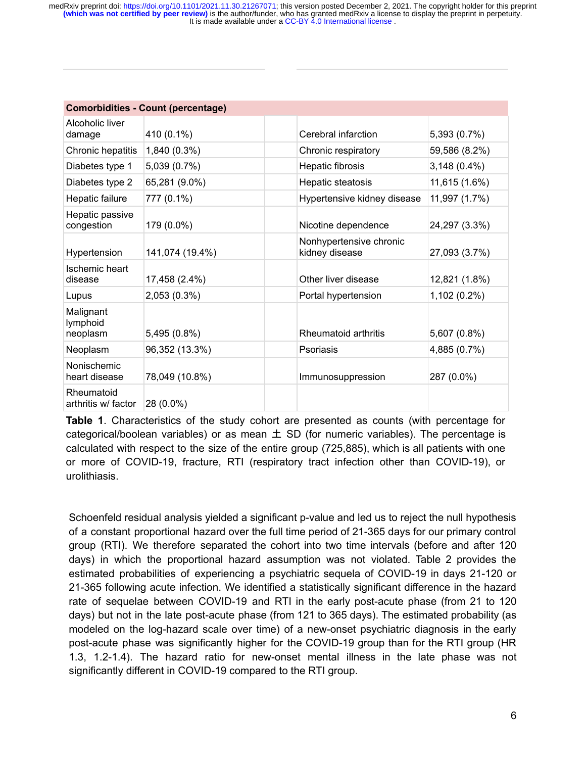| <b>Comorbidities - Count (percentage)</b> |                 |                                           |                |  |  |  |
|-------------------------------------------|-----------------|-------------------------------------------|----------------|--|--|--|
| Alcoholic liver<br>damage                 | 410 (0.1%)      | Cerebral infarction                       | 5,393 (0.7%)   |  |  |  |
| Chronic hepatitis                         | 1,840 (0.3%)    | Chronic respiratory                       | 59,586 (8.2%)  |  |  |  |
| Diabetes type 1                           | 5,039 (0.7%)    | Hepatic fibrosis                          | $3,148(0.4\%)$ |  |  |  |
| Diabetes type 2                           | 65,281 (9.0%)   | Hepatic steatosis                         | 11,615 (1.6%)  |  |  |  |
| Hepatic failure                           | 777 (0.1%)      | Hypertensive kidney disease               | 11,997 (1.7%)  |  |  |  |
| Hepatic passive<br>congestion             | 179 (0.0%)      | Nicotine dependence                       | 24,297 (3.3%)  |  |  |  |
| Hypertension                              | 141,074 (19.4%) | Nonhypertensive chronic<br>kidney disease | 27,093 (3.7%)  |  |  |  |
| Ischemic heart<br>disease                 | 17,458 (2.4%)   | Other liver disease                       | 12,821 (1.8%)  |  |  |  |
| Lupus                                     | 2,053 (0.3%)    | Portal hypertension                       | 1,102 (0.2%)   |  |  |  |
| Malignant<br>lymphoid<br>neoplasm         | 5,495 (0.8%)    | Rheumatoid arthritis                      | 5,607 (0.8%)   |  |  |  |
| Neoplasm                                  | 96,352 (13.3%)  | Psoriasis                                 | 4,885 (0.7%)   |  |  |  |
| Nonischemic<br>heart disease              | 78,049 (10.8%)  | Immunosuppression                         | 287 (0.0%)     |  |  |  |
| Rheumatoid<br>arthritis w/ factor         | 28 (0.0%)       |                                           |                |  |  |  |

**Table 1**. Characteristics of the study cohort are presented as counts (with percentage for categorical/boolean variables) or as mean  $\pm$  SD (for numeric variables). The percentage is calculated with respect to the size of the entire group (725,885), which is all patients with one or more of COVID-19, fracture, RTI (respiratory tract infection other than COVID-19), or urolithiasis.

Schoenfeld residual analysis yielded a significant p-value and led us to reject the null hypothesis of a constant proportional hazard over the full time period of 21-365 days for our primary control group (RTI). We therefore separated the cohort into two time intervals (before and after 120 days) in which the proportional hazard assumption was not violated. Table 2 provides the estimated probabilities of experiencing a psychiatric sequela of COVID-19 in days 21-120 or 21-365 following acute infection. We identified a statistically significant difference in the hazard rate of sequelae between COVID-19 and RTI in the early post-acute phase (from 21 to 120 days) but not in the late post-acute phase (from 121 to 365 days). The estimated probability (as modeled on the log-hazard scale over time) of a new-onset psychiatric diagnosis in the early post-acute phase was significantly higher for the COVID-19 group than for the RTI group (HR 1.3, 1.2-1.4). The hazard ratio for new-onset mental illness in the late phase was not significantly different in COVID-19 compared to the RTI group.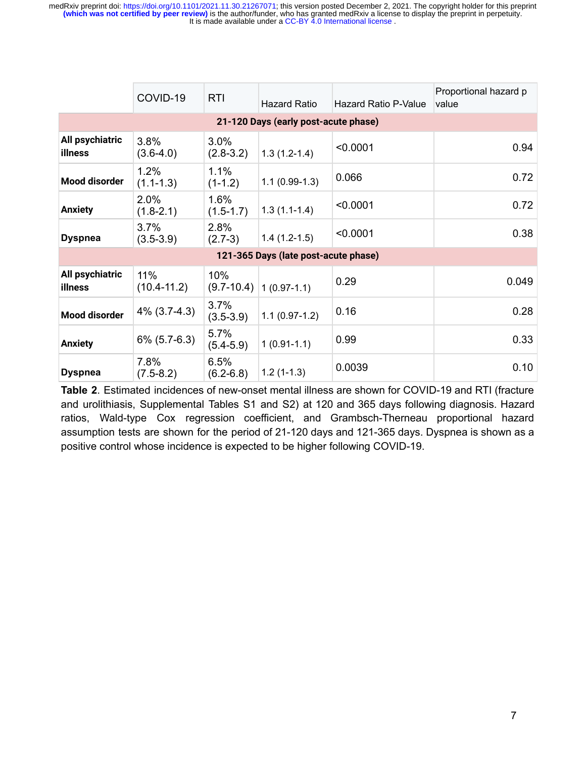It is made available under a CC-BY 4.0 International license. medRxiv preprint doi: [https://doi.org/10.1101/2021.11.30.21267071;](https://doi.org/10.1101/2021.11.30.21267071) this version posted December 2, 2021. The copyright holder for this preprint<br>(which was not certified by peer review) is the author/funder, who has granted

|                                      | COVID-19               | <b>RTI</b>            | Hazard Ratio                | Hazard Ratio P-Value | Proportional hazard p<br>value |  |  |  |
|--------------------------------------|------------------------|-----------------------|-----------------------------|----------------------|--------------------------------|--|--|--|
| 21-120 Days (early post-acute phase) |                        |                       |                             |                      |                                |  |  |  |
| All psychiatric<br>illness           | 3.8%<br>$(3.6-4.0)$    | 3.0%<br>$(2.8-3.2)$   | $1.3(1.2-1.4)$              | < 0.0001             | 0.94                           |  |  |  |
| <b>Mood disorder</b>                 | 1.2%<br>$(1.1 - 1.3)$  | 1.1%<br>$(1-1.2)$     | $1.1(0.99-1.3)$             | 0.066                | 0.72                           |  |  |  |
| <b>Anxiety</b>                       | 2.0%<br>$(1.8 - 2.1)$  | 1.6%<br>$(1.5 - 1.7)$ | $1.3(1.1-1.4)$              | < 0.0001             | 0.72                           |  |  |  |
| <b>Dyspnea</b>                       | 3.7%<br>$(3.5-3.9)$    | 2.8%<br>$(2.7-3)$     | $1.4(1.2-1.5)$              | < 0.0001             | 0.38                           |  |  |  |
| 121-365 Days (late post-acute phase) |                        |                       |                             |                      |                                |  |  |  |
| All psychiatric<br>illness           | 11%<br>$(10.4 - 11.2)$ | 10%                   | $(9.7-10.4)$   1 (0.97-1.1) | 0.29                 | 0.049                          |  |  |  |
| <b>Mood disorder</b>                 | $4\%$ (3.7-4.3)        | 3.7%<br>$(3.5 - 3.9)$ | $1.1(0.97-1.2)$             | 0.16                 | 0.28                           |  |  |  |
| <b>Anxiety</b>                       | $6\%$ (5.7-6.3)        | 5.7%<br>$(5.4 - 5.9)$ | $1(0.91-1.1)$               | 0.99                 | 0.33                           |  |  |  |
| <b>Dyspnea</b>                       | 7.8%<br>$(7.5-8.2)$    | 6.5%<br>$(6.2 - 6.8)$ | $1.2(1-1.3)$                | 0.0039               | 0.10                           |  |  |  |

**Table 2**. Estimated incidences of new-onset mental illness are shown for COVID-19 and RTI (fracture and urolithiasis, Supplemental Tables S1 and S2) at 120 and 365 days following diagnosis. Hazard ratios, Wald-type Cox regression coefficient, and Grambsch-Therneau proportional hazard assumption tests are shown for the period of 21-120 days and 121-365 days. Dyspnea is shown as a positive control whose incidence is expected to be higher following COVID-19.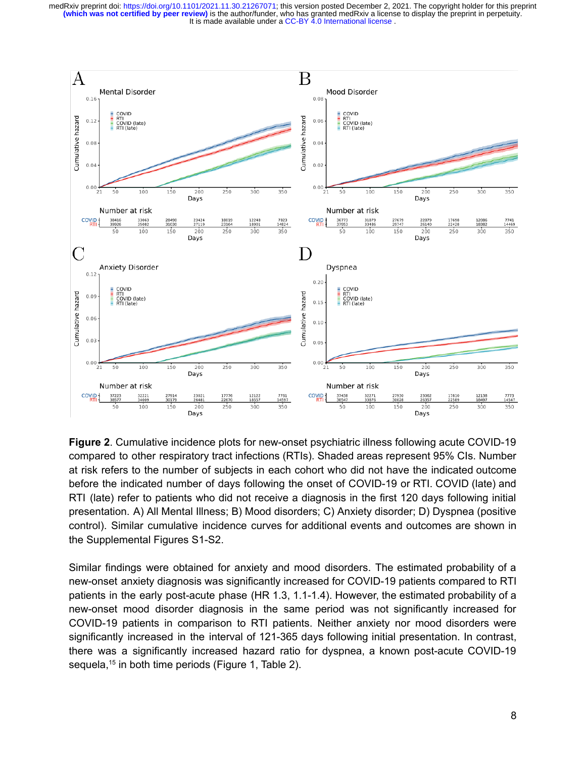

**Figure 2**. Cumulative incidence plots for new-onset psychiatric illness following acute COVID-19 compared to other respiratory tract infections (RTIs). Shaded areas represent 95% CIs. Number at risk refers to the number of subjects in each cohort who did not have the indicated outcome before the indicated number of days following the onset of COVID-19 or RTI. COVID (late) and RTI (late) refer to patients who did not receive a diagnosis in the first 120 days following initial presentation. A) All Mental Illness; B) Mood disorders; C) Anxiety disorder; D) Dyspnea (positive control). Similar cumulative incidence curves for additional events and outcomes are shown in the Supplemental Figures S1-S2.

Similar findings were obtained for anxiety and mood disorders. The estimated probability of a new-onset anxiety diagnosis was significantly increased for COVID-19 patients compared to RTI patients in the early post-acute phase (HR 1.3, 1.1-1.4). However, the estimated probability of a new-onset mood disorder diagnosis in the same period was not significantly increased for COVID-19 patients in comparison to RTI patients. Neither anxiety nor mood disorders were significantly increased in the interval of 121-365 days following initial presentation. In contrast, there was a significantly increased hazard ratio for dyspnea, a known post-acute COVID-19 sequela,<sup>[15](https://paperpile.com/c/SUxaeY/T6nS)</sup> in both time periods (Figure 1, Table 2).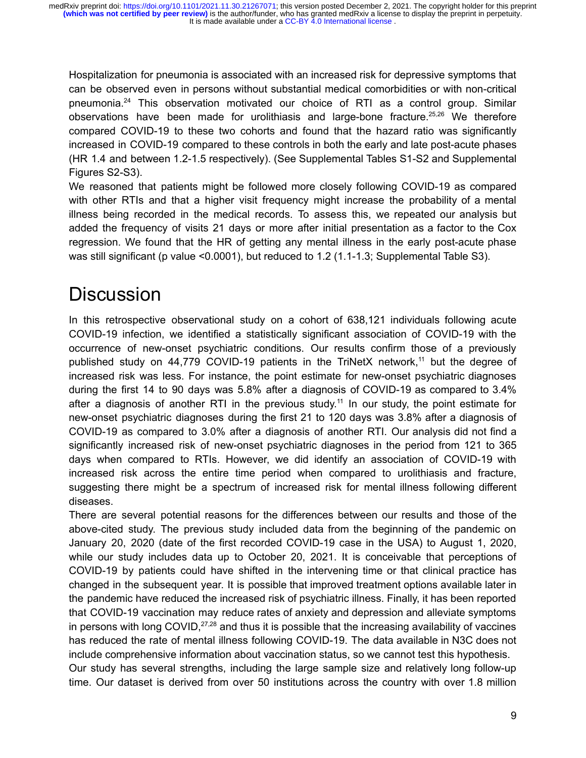Hospitalization for pneumonia is associated with an increased risk for depressive symptoms that can be observed even in persons without substantial medical comorbidities or with non-critical pneumonia.[24](https://paperpile.com/c/SUxaeY/bmUN) This observation motivated our choice of RTI as a control group. Similar observations have been made for urolithiasis and large-bone fracture.<sup>[25,26](https://paperpile.com/c/SUxaeY/kMYN+FGHz)</sup> We therefore compared COVID-19 to these two cohorts and found that the hazard ratio was significantly increased in COVID-19 compared to these controls in both the early and late post-acute phases (HR 1.4 and between 1.2-1.5 respectively). (See Supplemental Tables S1-S2 and Supplemental Figures S2-S3).

We reasoned that patients might be followed more closely following COVID-19 as compared with other RTIs and that a higher visit frequency might increase the probability of a mental illness being recorded in the medical records. To assess this, we repeated our analysis but added the frequency of visits 21 days or more after initial presentation as a factor to the Cox regression. We found that the HR of getting any mental illness in the early post-acute phase was still significant (p value <0.0001), but reduced to 1.2 (1.1-1.3; Supplemental Table S3).

# **Discussion**

In this retrospective observational study on a cohort of 638,121 individuals following acute COVID-19 infection, we identified a statistically significant association of COVID-19 with the occurrence of new-onset psychiatric conditions. Our results confirm those of a previously published study on 44,779 COVID-19 patients in the TriNetX network,<sup>[11](https://paperpile.com/c/SUxaeY/oeSp)</sup> but the degree of increased risk was less. For instance, the point estimate for new-onset psychiatric diagnoses during the first 14 to 90 days was 5.8% after a diagnosis of COVID-19 as compared to 3.4% after a diagnosis of another RTI in the previous study.<sup>[11](https://paperpile.com/c/SUxaeY/oeSp)</sup> In our study, the point estimate for new-onset psychiatric diagnoses during the first 21 to 120 days was 3.8% after a diagnosis of COVID-19 as compared to 3.0% after a diagnosis of another RTI. Our analysis did not find a significantly increased risk of new-onset psychiatric diagnoses in the period from 121 to 365 days when compared to RTIs. However, we did identify an association of COVID-19 with increased risk across the entire time period when compared to urolithiasis and fracture, suggesting there might be a spectrum of increased risk for mental illness following different diseases.

There are several potential reasons for the differences between our results and those of the above-cited study. The previous study included data from the beginning of the pandemic on January 20, 2020 (date of the first recorded COVID-19 case in the USA) to August 1, 2020, while our study includes data up to October 20, 2021. It is conceivable that perceptions of COVID-19 by patients could have shifted in the intervening time or that clinical practice has changed in the subsequent year. It is possible that improved treatment options available later in the pandemic have reduced the increased risk of psychiatric illness. Finally, it has been reported that COVID-19 vaccination may reduce rates of anxiety and depression and alleviate symptoms in persons with long COVID, $27,28$  and thus it is possible that the increasing availability of vaccines has reduced the rate of mental illness following COVID-19. The data available in N3C does not include comprehensive information about vaccination status, so we cannot test this hypothesis. Our study has several strengths, including the large sample size and relatively long follow-up time. Our dataset is derived from over 50 institutions across the country with over 1.8 million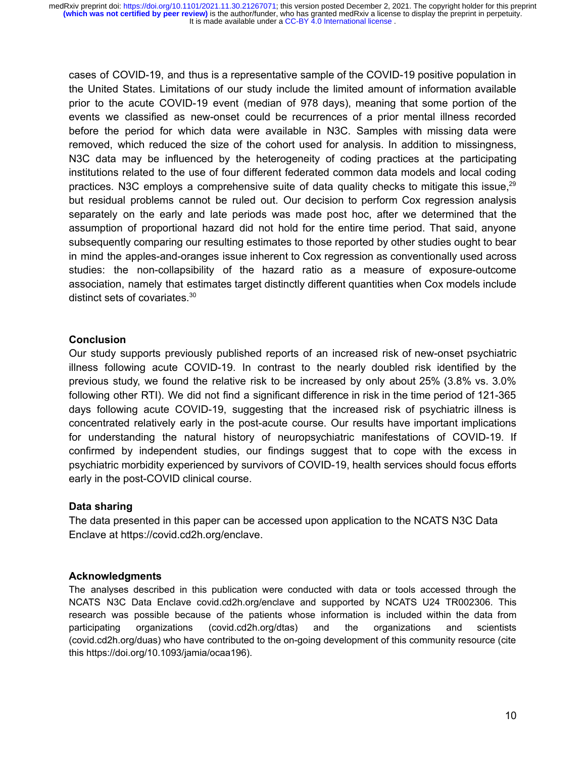cases of COVID-19, and thus is a representative sample of the COVID-19 positive population in the United States. Limitations of our study include the limited amount of information available prior to the acute COVID-19 event (median of 978 days), meaning that some portion of the events we classified as new-onset could be recurrences of a prior mental illness recorded before the period for which data were available in N3C. Samples with missing data were removed, which reduced the size of the cohort used for analysis. In addition to missingness, N3C data may be influenced by the heterogeneity of coding practices at the participating institutions related to the use of four different federated common data models and local coding practices. N3C employs a comprehensive suite of data quality checks to mitigate this issue, $29$ but residual problems cannot be ruled out. Our decision to perform Cox regression analysis separately on the early and late periods was made post hoc, after we determined that the assumption of proportional hazard did not hold for the entire time period. That said, anyone subsequently comparing our resulting estimates to those reported by other studies ought to bear in mind the apples-and-oranges issue inherent to Cox regression as conventionally used across studies: the non-collapsibility of the hazard ratio as a measure of exposure-outcome association, namely that estimates target distinctly different quantities when Cox models include distinct sets of covariates.[30](https://paperpile.com/c/SUxaeY/zGt7)

#### **Conclusion**

Our study supports previously published reports of an increased risk of new-onset psychiatric illness following acute COVID-19. In contrast to the nearly doubled risk identified by the previous study, we found the relative risk to be increased by only about 25% (3.8% vs. 3.0% following other RTI). We did not find a significant difference in risk in the time period of 121-365 days following acute COVID-19, suggesting that the increased risk of psychiatric illness is concentrated relatively early in the post-acute course. Our results have important implications for understanding the natural history of neuropsychiatric manifestations of COVID-19. If confirmed by independent studies, our findings suggest that to cope with the excess in psychiatric morbidity experienced by survivors of COVID-19, health services should focus efforts early in the post-COVID clinical course.

#### **Data sharing**

The data presented in this paper can be accessed upon application to the NCATS N3C Data Enclave at https://covid.cd2h.org/enclave.

#### **Acknowledgments**

The analyses described in this publication were conducted with data or tools accessed through the NCATS N3C Data Enclave covid.cd2h.org/enclave and supported by NCATS U24 TR002306. This research was possible because of the patients whose information is included within the data from participating organizations (covid.cd2h.org/dtas) and the organizations and scientists (covid.cd2h.org/duas) who have contributed to the on-going development of this community resource (cite this https://doi.org/10.1093/jamia/ocaa196).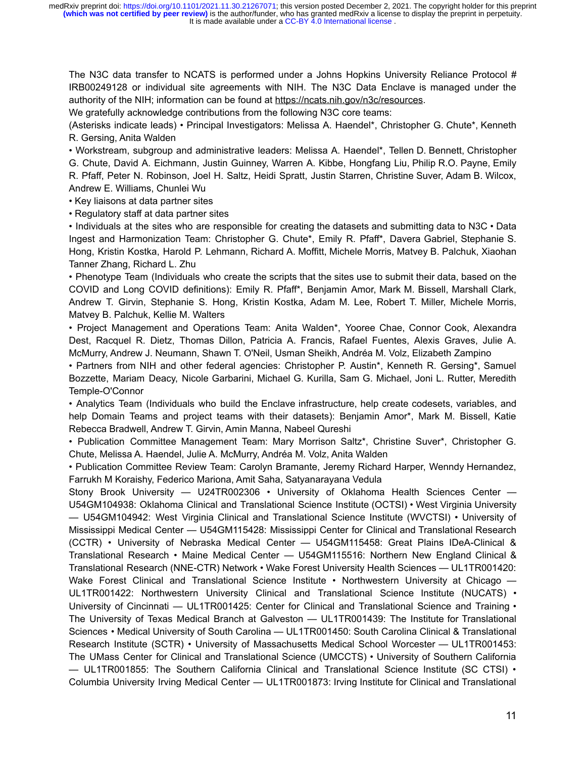The N3C data transfer to NCATS is performed under a Johns Hopkins University Reliance Protocol # IRB00249128 or individual site agreements with NIH. The N3C Data Enclave is managed under the authority of the NIH; information can be found at [https://ncats.nih.gov/n3c/resources.](https://ncats.nih.gov/n3c/resources)

We gratefully acknowledge contributions from the following N3C core teams:

(Asterisks indicate leads) • Principal Investigators: Melissa A. Haendel\*, Christopher G. Chute\*, Kenneth R. Gersing, Anita Walden

• Workstream, subgroup and administrative leaders: Melissa A. Haendel\*, Tellen D. Bennett, Christopher G. Chute, David A. Eichmann, Justin Guinney, Warren A. Kibbe, Hongfang Liu, Philip R.O. Payne, Emily R. Pfaff, Peter N. Robinson, Joel H. Saltz, Heidi Spratt, Justin Starren, Christine Suver, Adam B. Wilcox, Andrew E. Williams, Chunlei Wu

• Key liaisons at data partner sites

• Regulatory staff at data partner sites

• Individuals at the sites who are responsible for creating the datasets and submitting data to N3C • Data Ingest and Harmonization Team: Christopher G. Chute\*, Emily R. Pfaff\*, Davera Gabriel, Stephanie S. Hong, Kristin Kostka, Harold P. Lehmann, Richard A. Moffitt, Michele Morris, Matvey B. Palchuk, Xiaohan Tanner Zhang, Richard L. Zhu

• Phenotype Team (Individuals who create the scripts that the sites use to submit their data, based on the COVID and Long COVID definitions): Emily R. Pfaff\*, Benjamin Amor, Mark M. Bissell, Marshall Clark, Andrew T. Girvin, Stephanie S. Hong, Kristin Kostka, Adam M. Lee, Robert T. Miller, Michele Morris, Matvey B. Palchuk, Kellie M. Walters

• Project Management and Operations Team: Anita Walden\*, Yooree Chae, Connor Cook, Alexandra Dest, Racquel R. Dietz, Thomas Dillon, Patricia A. Francis, Rafael Fuentes, Alexis Graves, Julie A. McMurry, Andrew J. Neumann, Shawn T. O'Neil, Usman Sheikh, Andréa M. Volz, Elizabeth Zampino

• Partners from NIH and other federal agencies: Christopher P. Austin\*, Kenneth R. Gersing\*, Samuel Bozzette, Mariam Deacy, Nicole Garbarini, Michael G. Kurilla, Sam G. Michael, Joni L. Rutter, Meredith Temple-O'Connor

• Analytics Team (Individuals who build the Enclave infrastructure, help create codesets, variables, and help Domain Teams and project teams with their datasets): Benjamin Amor\*, Mark M. Bissell, Katie Rebecca Bradwell, Andrew T. Girvin, Amin Manna, Nabeel Qureshi

• Publication Committee Management Team: Mary Morrison Saltz\*, Christine Suver\*, Christopher G. Chute, Melissa A. Haendel, Julie A. McMurry, Andréa M. Volz, Anita Walden

• Publication Committee Review Team: Carolyn Bramante, Jeremy Richard Harper, Wenndy Hernandez, Farrukh M Koraishy, Federico Mariona, Amit Saha, Satyanarayana Vedula

Stony Brook University — U24TR002306 • University of Oklahoma Health Sciences Center — U54GM104938: Oklahoma Clinical and Translational Science Institute (OCTSI) • West Virginia University — U54GM104942: West Virginia Clinical and Translational Science Institute (WVCTSI) • University of Mississippi Medical Center — U54GM115428: Mississippi Center for Clinical and Translational Research (CCTR) • University of Nebraska Medical Center — U54GM115458: Great Plains IDeA-Clinical & Translational Research • Maine Medical Center — U54GM115516: Northern New England Clinical & Translational Research (NNE-CTR) Network • Wake Forest University Health Sciences — UL1TR001420: Wake Forest Clinical and Translational Science Institute • Northwestern University at Chicago — UL1TR001422: Northwestern University Clinical and Translational Science Institute (NUCATS) • University of Cincinnati — UL1TR001425: Center for Clinical and Translational Science and Training • The University of Texas Medical Branch at Galveston — UL1TR001439: The Institute for Translational Sciences • Medical University of South Carolina — UL1TR001450: South Carolina Clinical & Translational Research Institute (SCTR) • University of Massachusetts Medical School Worcester — UL1TR001453: The UMass Center for Clinical and Translational Science (UMCCTS) • University of Southern California — UL1TR001855: The Southern California Clinical and Translational Science Institute (SC CTSI) • Columbia University Irving Medical Center — UL1TR001873: Irving Institute for Clinical and Translational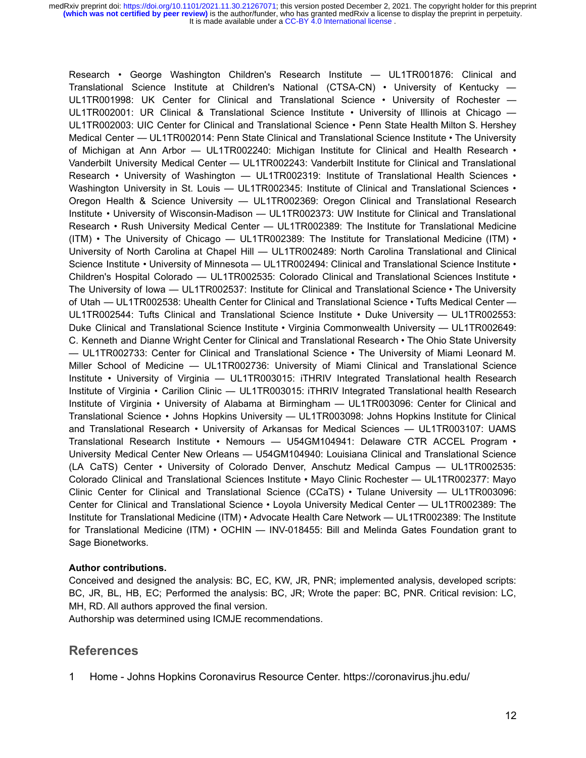Research • George Washington Children's Research Institute — UL1TR001876: Clinical and Translational Science Institute at Children's National (CTSA-CN) • University of Kentucky — UL1TR001998: UK Center for Clinical and Translational Science • University of Rochester — UL1TR002001: UR Clinical & Translational Science Institute • University of Illinois at Chicago — UL1TR002003: UIC Center for Clinical and Translational Science • Penn State Health Milton S. Hershey Medical Center — UL1TR002014: Penn State Clinical and Translational Science Institute • The University of Michigan at Ann Arbor — UL1TR002240: Michigan Institute for Clinical and Health Research • Vanderbilt University Medical Center — UL1TR002243: Vanderbilt Institute for Clinical and Translational Research • University of Washington — UL1TR002319: Institute of Translational Health Sciences • Washington University in St. Louis - UL1TR002345: Institute of Clinical and Translational Sciences • Oregon Health & Science University — UL1TR002369: Oregon Clinical and Translational Research Institute • University of Wisconsin-Madison — UL1TR002373: UW Institute for Clinical and Translational Research • Rush University Medical Center — UL1TR002389: The Institute for Translational Medicine (ITM) • The University of Chicago — UL1TR002389: The Institute for Translational Medicine (ITM) • University of North Carolina at Chapel Hill — UL1TR002489: North Carolina Translational and Clinical Science Institute • University of Minnesota — UL1TR002494: Clinical and Translational Science Institute • Children's Hospital Colorado — UL1TR002535: Colorado Clinical and Translational Sciences Institute • The University of Iowa — UL1TR002537: Institute for Clinical and Translational Science • The University of Utah — UL1TR002538: Uhealth Center for Clinical and Translational Science • Tufts Medical Center — UL1TR002544: Tufts Clinical and Translational Science Institute • Duke University — UL1TR002553: Duke Clinical and Translational Science Institute • Virginia Commonwealth University — UL1TR002649: C. Kenneth and Dianne Wright Center for Clinical and Translational Research • The Ohio State University — UL1TR002733: Center for Clinical and Translational Science • The University of Miami Leonard M. Miller School of Medicine — UL1TR002736: University of Miami Clinical and Translational Science Institute • University of Virginia — UL1TR003015: iTHRIV Integrated Translational health Research Institute of Virginia • Carilion Clinic — UL1TR003015: iTHRIV Integrated Translational health Research Institute of Virginia • University of Alabama at Birmingham — UL1TR003096: Center for Clinical and Translational Science • Johns Hopkins University — UL1TR003098: Johns Hopkins Institute for Clinical and Translational Research • University of Arkansas for Medical Sciences — UL1TR003107: UAMS Translational Research Institute • Nemours — U54GM104941: Delaware CTR ACCEL Program • University Medical Center New Orleans — U54GM104940: Louisiana Clinical and Translational Science (LA CaTS) Center • University of Colorado Denver, Anschutz Medical Campus — UL1TR002535: Colorado Clinical and Translational Sciences Institute • Mayo Clinic Rochester — UL1TR002377: Mayo Clinic Center for Clinical and Translational Science (CCaTS) • Tulane University — UL1TR003096: Center for Clinical and Translational Science • Loyola University Medical Center — UL1TR002389: The Institute for Translational Medicine (ITM) • Advocate Health Care Network — UL1TR002389: The Institute for Translational Medicine (ITM) • OCHIN — INV-018455: Bill and Melinda Gates Foundation grant to Sage Bionetworks.

#### **Author contributions.**

Conceived and designed the analysis: BC, EC, KW, JR, PNR; implemented analysis, developed scripts: BC, JR, BL, HB, EC; Performed the analysis: BC, JR; Wrote the paper: BC, PNR. Critical revision: LC, MH, RD. All authors approved the final version.

Authorship was determined using ICMJE recommendations.

#### **References**

1 [Home - Johns Hopkins Coronavirus Resource Center.](http://paperpile.com/b/SUxaeY/0R5k)<https://coronavirus.jhu.edu/>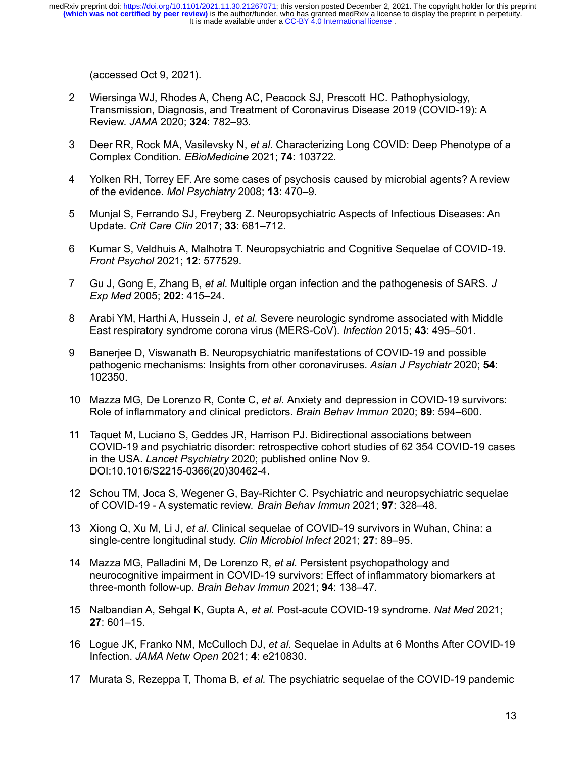[\(accessed Oct 9, 2021\).](http://paperpile.com/b/SUxaeY/0R5k)

- 2 [Wiersinga WJ, Rhodes A, Cheng AC, Peacock SJ, Prescott HC. Pathophysiology,](http://paperpile.com/b/SUxaeY/PJMq) [Transmission, Diagnosis, and Treatment of Coronavirus Disease 2019 \(COVID-19\): A](http://paperpile.com/b/SUxaeY/PJMq) Review. *JAMA* 2020; **324**[: 782–93.](http://paperpile.com/b/SUxaeY/PJMq)
- 3 Deer RR, Rock MA, Vasilevsky N, *et al.* [Characterizing Long COVID: Deep Phenotype of a](http://paperpile.com/b/SUxaeY/lKO8) [Complex Condition.](http://paperpile.com/b/SUxaeY/lKO8) *EBioMedicine* 2021; **74**: 103722.
- 4 [Yolken RH, Torrey EF. Are some cases of psychosis caused by microbial agents? A review](http://paperpile.com/b/SUxaeY/9rbj) [of the evidence.](http://paperpile.com/b/SUxaeY/9rbj) *Mol Psychiatry* 2008; **13**: 470–9.
- 5 [Munjal S, Ferrando SJ, Freyberg Z. Neuropsychiatric Aspects of Infectious Diseases: An](http://paperpile.com/b/SUxaeY/9KeR) Update. *[Crit Care Clin](http://paperpile.com/b/SUxaeY/9KeR)* 2017; **33**: 681–712.
- 6 [Kumar S, Veldhuis A, Malhotra T. Neuropsychiatric and Cognitive Sequelae of COVID-19.](http://paperpile.com/b/SUxaeY/IgKC) *[Front Psychol](http://paperpile.com/b/SUxaeY/IgKC)* 2021; **12**: 577529.
- 7 Gu J, Gong E, Zhang B, *et al.* [Multiple organ infection and the pathogenesis of SARS.](http://paperpile.com/b/SUxaeY/6Sel) *J Exp Med* 2005; **202**[: 415–24.](http://paperpile.com/b/SUxaeY/6Sel)
- 8 Arabi YM, Harthi A, Hussein J, *et al.* [Severe neurologic syndrome associated with Middle](http://paperpile.com/b/SUxaeY/xCGm) [East respiratory syndrome corona virus \(MERS-CoV\).](http://paperpile.com/b/SUxaeY/xCGm) *Infection* 2015; **43**: 495–501.
- 9 [Banerjee D, Viswanath B. Neuropsychiatric manifestations of COVID-19 and possible](http://paperpile.com/b/SUxaeY/2HjC) [pathogenic mechanisms: Insights from other coronaviruses.](http://paperpile.com/b/SUxaeY/2HjC) *Asian J Psychiatr* 2020; **54**: [102350.](http://paperpile.com/b/SUxaeY/2HjC)
- 10 Mazza MG, De Lorenzo R, Conte C, *et al.* [Anxiety and depression in COVID-19 survivors:](http://paperpile.com/b/SUxaeY/Q99B) [Role of inflammatory and clinical predictors.](http://paperpile.com/b/SUxaeY/Q99B) *Brain Behav Immun* 2020; **89**: 594–600.
- 11 [Taquet M, Luciano S, Geddes JR, Harrison PJ. Bidirectional associations between](http://paperpile.com/b/SUxaeY/oeSp) [COVID-19 and psychiatric disorder: retrospective cohort studies of 62 354 COVID-19 cases](http://paperpile.com/b/SUxaeY/oeSp) in the USA. *Lancet Psychiatry* [2020; published online Nov 9.](http://paperpile.com/b/SUxaeY/oeSp) [DOI:](http://paperpile.com/b/SUxaeY/oeSp)[10.1016/S2215-0366\(20\)30462-4](http://dx.doi.org/10.1016/S2215-0366(20)30462-4)[.](http://paperpile.com/b/SUxaeY/oeSp)
- 12 [Schou TM, Joca S, Wegener G, Bay-Richter C. Psychiatric and neuropsychiatric sequelae](http://paperpile.com/b/SUxaeY/qVbV) [of COVID-19 - A systematic review.](http://paperpile.com/b/SUxaeY/qVbV) *Brain Behav Immun* 2021; **97**: 328–48.
- 13 Xiong Q, Xu M, Li J, *et al.* [Clinical sequelae of COVID-19 survivors in Wuhan, China: a](http://paperpile.com/b/SUxaeY/BH0T) [single-centre longitudinal study.](http://paperpile.com/b/SUxaeY/BH0T) *Clin Microbiol Infect* 2021; **27**: 89–95.
- 14 [Mazza MG, Palladini M, De Lorenzo R,](http://paperpile.com/b/SUxaeY/HTWe) *et al.* Persistent psychopathology and [neurocognitive impairment in COVID-19 survivors: Effect of inflammatory biomarkers at](http://paperpile.com/b/SUxaeY/HTWe) [three-month follow-up.](http://paperpile.com/b/SUxaeY/HTWe) *Brain Behav Immun* 2021; **94**: 138–47.
- 15 [Nalbandian A, Sehgal K, Gupta A,](http://paperpile.com/b/SUxaeY/T6nS) *et al.* Post-acute COVID-19 syndrome. *Nat Med* 2021; **27**[: 601–15.](http://paperpile.com/b/SUxaeY/T6nS)
- 16 Logue JK, Franko NM, McCulloch DJ, *et al.* [Sequelae in Adults at 6 Months After COVID-19](http://paperpile.com/b/SUxaeY/qLwF) Infection. *[JAMA Netw Open](http://paperpile.com/b/SUxaeY/qLwF)* 2021; **4**: e210830.
- 17 Murata S, Rezeppa T, Thoma B, *et al.* [The psychiatric sequelae of the COVID-19 pandemic](http://paperpile.com/b/SUxaeY/hVba)